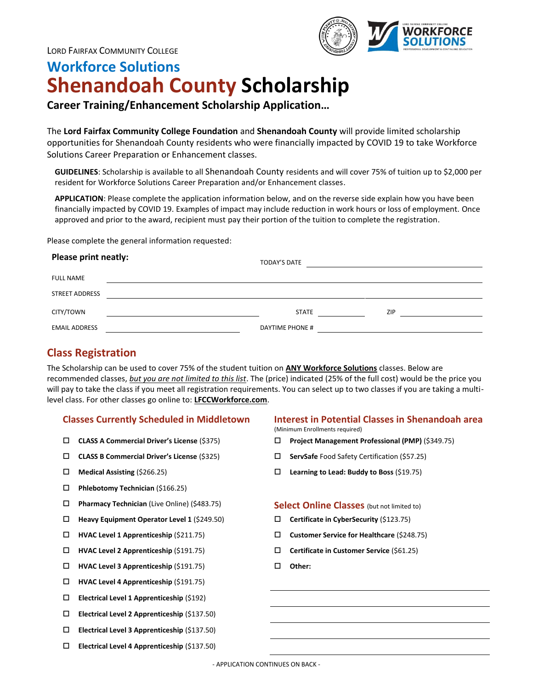

# **Workforce Solutions Shenandoah County Scholarship**

## **Career Training/Enhancement Scholarship Application…**

The **Lord Fairfax Community College Foundation** and **Shenandoah County** will provide limited scholarship opportunities for Shenandoah County residents who were financially impacted by COVID 19 to take Workforce Solutions Career Preparation or Enhancement classes.

**GUIDELINES**: Scholarship is available to all Shenandoah County residents and will cover 75% of tuition up to \$2,000 per resident for Workforce Solutions Career Preparation and/or Enhancement classes.

**APPLICATION**: Please complete the application information below, and on the reverse side explain how you have been financially impacted by COVID 19. Examples of impact may include reduction in work hours or loss of employment. Once approved and prior to the award, recipient must pay their portion of the tuition to complete the registration.

Please complete the general information requested:

# **Please print neatly:** TODAY'S DATE FULL NAME STREET ADDRESS CITY/TOWN STATE ZIP EMAIL ADDRESS **EXECUTE A SECURE 2018 THE SECURE 2019 THE PHONE #**

## **Class Registration**

The Scholarship can be used to cover 75% of the student tuition on **ANY Workforce Solutions** classes. Below are recommended classes, *but you are not limited to this list*. The (price) indicated (25% of the full cost) would be the price you will pay to take the class if you meet all registration requirements. You can select up to two classes if you are taking a multilevel class. For other classes go online to: **LFCCWorkforce.com**.

- 
- **CLASS B Commercial Driver's License** (\$325) **ServSafe** Food Safety Certification (\$57.25)
- 
- **Phlebotomy Technician** (\$166.25)
- **Pharmacy Technician** (Live Online) (\$483.75) **Select Online Classes** (but not limited to)
- **Heavy Equipment Operator Level 1** (\$249.50) **Certificate in CyberSecurity** (\$123.75)
- 
- 
- **HVAC Level 3 Apprenticeship** (\$191.75) **Other:**
- **HVAC Level 4 Apprenticeship** (\$191.75)
- **Electrical Level 1 Apprenticeship** (\$192)
- **Electrical Level 2 Apprenticeship** (\$137.50)
- **Electrical Level 3 Apprenticeship** (\$137.50)
- **Electrical Level 4 Apprenticeship** (\$137.50)

### **Classes Currently Scheduled in Middletown Interest in Potential Classes in Shenandoah area**

(Minimum Enrollments required)

- **CLASS A Commercial Driver's License** (\$375) **Project Management Professional (PMP)** (\$349.75)
	-
- **Medical Assisting** (\$266.25) **Learning to Lead: Buddy to Boss** (\$19.75)

- 
- **HVAC Level 1 Apprenticeship** (\$211.75) **Customer Service for Healthcare** (\$248.75)
- **HVAC Level 2 Apprenticeship** (\$191.75) **Certificate in Customer Service** (\$61.25)
	-

- APPLICATION CONTINUES ON BACK -